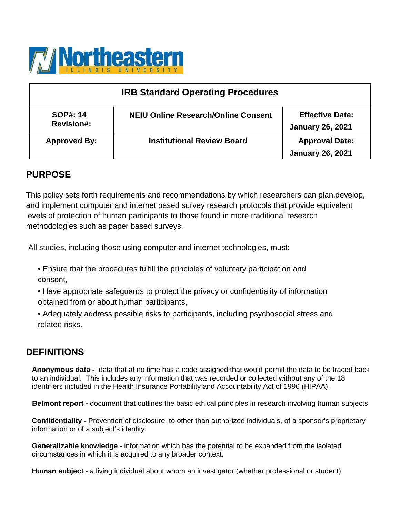

| <b>IRB Standard Operating Procedures</b> |                                            |                                                   |  |
|------------------------------------------|--------------------------------------------|---------------------------------------------------|--|
| <b>SOP#: 14</b><br><b>Revision#:</b>     | <b>NEIU Online Research/Online Consent</b> | <b>Effective Date:</b><br><b>January 26, 2021</b> |  |
| <b>Approved By:</b>                      | <b>Institutional Review Board</b>          | <b>Approval Date:</b><br><b>January 26, 2021</b>  |  |

## **PURPOSE**

This policy sets forth requirements and recommendations by which researchers can plan,develop, and implement computer and internet based survey research protocols that provide equivalent levels of protection of human participants to those found in more traditional research methodologies such as paper based surveys.

All studies, including those using computer and internet technologies, must:

- Ensure that the procedures fulfill the principles of voluntary participation and consent,
- Have appropriate safeguards to protect the privacy or confidentiality of information obtained from or about human participants,
- Adequately address possible risks to participants, including psychosocial stress and related risks.

# **DEFINITIONS**

**Anonymous data -** data that at no time has a code assigned that would permit the data to be traced back to an individual. This includes any information that was recorded or collected without any of the 18 identifiers included in the [Health Insurance Portability and Accountability Act of 1996](https://www.hhs.gov/hipaa/for-professionals/privacy/index.html) (HIPAA).

 **Belmont report -** document that outlines the basic ethical principles in research involving human subjects.

**Confidentiality -** Prevention of disclosure, to other than authorized individuals, of a sponsor's proprietary information or of a subject's identity.

**Generalizable knowledge** - information which has the potential to be expanded from the isolated circumstances in which it is acquired to any broader context.

**Human subject** - a living individual about whom an investigator (whether professional or student)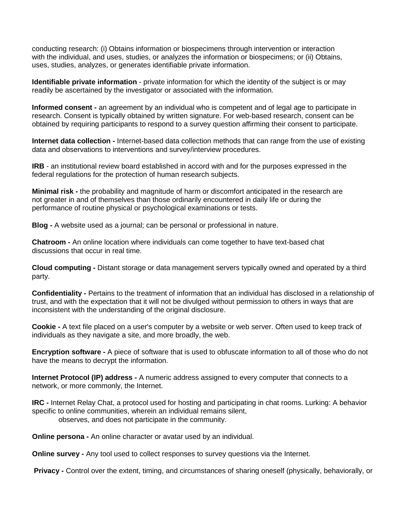conducting research: (i) Obtains information or biospecimens through intervention or interaction with the individual, and uses, studies, or analyzes the information or biospecimens; or (ii) Obtains, uses, studies, analyzes, or generates identifiable private information.

**Identifiable private information** - private information for which the identity of the subject is or may readily be ascertained by the investigator or associated with the information.

**Informed consent -** an agreement by an individual who is competent and of legal age to participate in research. Consent is typically obtained by written signature. For web-based research, consent can be obtained by requiring participants to respond to a survey question affirming their consent to participate.

**Internet data collection -** Internet-based data collection methods that can range from the use of existing data and observations to interventions and survey/interview procedures.

**IRB** - an institutional review board established in accord with and for the purposes expressed in the federal regulations for the protection of human research subjects.

**Minimal risk -** the probability and magnitude of harm or discomfort anticipated in the research are not greater in and of themselves than those ordinarily encountered in daily life or during the performance of routine physical or psychological examinations or tests.

**Blog -** A website used as a journal; can be personal or professional in nature.

**Chatroom -** An online location where individuals can come together to have text-based chat discussions that occur in real time.

**Cloud computing -** Distant storage or data management servers typically owned and operated by a third party.

**Confidentiality -** Pertains to the treatment of information that an individual has disclosed in a relationship of trust, and with the expectation that it will not be divulged without permission to others in ways that are inconsistent with the understanding of the original disclosure.

**Cookie -** A text file placed on a user's computer by a website or web server. Often used to keep track of individuals as they navigate a site, and more broadly, the web.

**Encryption software -** A piece of software that is used to obfuscate information to all of those who do not have the means to decrypt the information.

**Internet Protocol (IP) address -** A numeric address assigned to every computer that connects to a network, or more commonly, the Internet.

**IRC -** Internet Relay Chat, a protocol used for hosting and participating in chat rooms. Lurking: A behavior specific to online communities, wherein an individual remains silent,

observes, and does not participate in the community.

 **Online persona -** An online character or avatar used by an individual.

**Online survey -** Any tool used to collect responses to survey questions via the Internet.

**Privacy -** Control over the extent, timing, and circumstances of sharing oneself (physically, behaviorally, or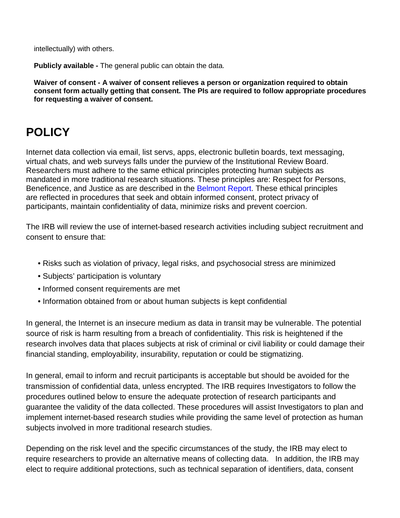intellectually) with others.

**Publicly available -** The general public can obtain the data.

**Waiver of consent - A waiver of consent relieves a person or organization required to obtain consent form actually getting that consent. The PIs are required to follow appropriate procedures for requesting a waiver of consent.** 

# **POLICY**

Internet data collection via email, list servs, apps, electronic bulletin boards, text messaging, virtual chats, and web surveys falls under the purview of the Institutional Review Board. Researchers must adhere to the same ethical principles protecting human subjects as mandated in more traditional research situations. These principles are: Respect for Persons, Beneficence, and Justice as are described in the Belmont Report. These ethical principles are reflected in procedures that seek and obtain informed consent, protect privacy of participants, maintain confidentiality of data, minimize risks and prevent coercion.

The IRB will review the use of internet-based research activities including subject recruitment and consent to ensure that:

- Risks such as violation of privacy, legal risks, and psychosocial stress are minimized
- Subjects' participation is voluntary
- Informed consent requirements are met
- Information obtained from or about human subjects is kept confidential

In general, the Internet is an insecure medium as data in transit may be vulnerable. The potential source of risk is harm resulting from a breach of confidentiality. This risk is heightened if the research involves data that places subjects at risk of criminal or civil liability or could damage their financial standing, employability, insurability, reputation or could be stigmatizing.

In general, email to inform and recruit participants is acceptable but should be avoided for the transmission of confidential data, unless encrypted. The IRB requires Investigators to follow the procedures outlined below to ensure the adequate protection of research participants and guarantee the validity of the data collected. These procedures will assist Investigators to plan and implement internet-based research studies while providing the same level of protection as human subjects involved in more traditional research studies.

Depending on the risk level and the specific circumstances of the study, the IRB may elect to require researchers to provide an alternative means of collecting data. In addition, the IRB may elect to require additional protections, such as technical separation of identifiers, data, consent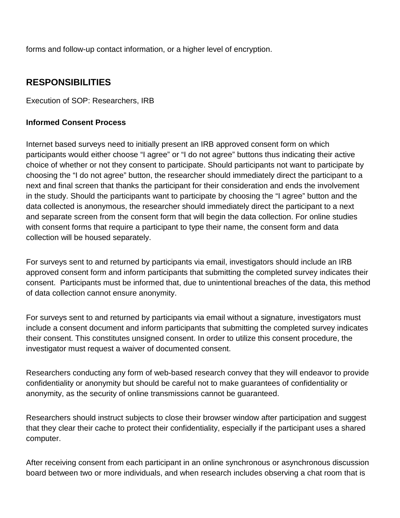forms and follow-up contact information, or a higher level of encryption.

# **RESPONSIBILITIES**

Execution of SOP: Researchers, IRB

## **Informed Consent Process**

Internet based surveys need to initially present an IRB approved consent form on which participants would either choose "I agree" or "I do not agree" buttons thus indicating their active choice of whether or not they consent to participate. Should participants not want to participate by choosing the "I do not agree" button, the researcher should immediately direct the participant to a next and final screen that thanks the participant for their consideration and ends the involvement in the study. Should the participants want to participate by choosing the "I agree" button and the data collected is anonymous, the researcher should immediately direct the participant to a next and separate screen from the consent form that will begin the data collection. For online studies with consent forms that require a participant to type their name, the consent form and data collection will be housed separately.

For surveys sent to and returned by participants via email, investigators should include an IRB approved consent form and inform participants that submitting the completed survey indicates their consent. Participants must be informed that, due to unintentional breaches of the data, this method of data collection cannot ensure anonymity.

For surveys sent to and returned by participants via email without a signature, investigators must include a consent document and inform participants that submitting the completed survey indicates their consent. This constitutes unsigned consent. In order to utilize this consent procedure, the investigator must request a waiver of documented consent.

Researchers conducting any form of web-based research convey that they will endeavor to provide confidentiality or anonymity but should be careful not to make guarantees of confidentiality or anonymity, as the security of online transmissions cannot be guaranteed.

Researchers should instruct subjects to close their browser window after participation and suggest that they clear their cache to protect their confidentiality, especially if the participant uses a shared computer.

After receiving consent from each participant in an online synchronous or asynchronous discussion board between two or more individuals, and when research includes observing a chat room that is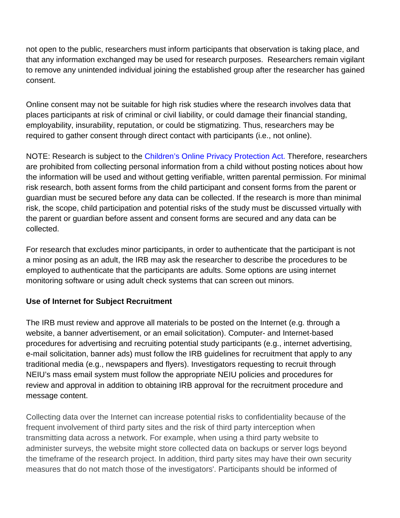not open to the public, researchers must inform participants that observation is taking place, and that any information exchanged may be used for research purposes. Researchers remain vigilant to remove any unintended individual joining the established group after the researcher has gained consent.

Online consent may not be suitable for high risk studies where the research involves data that places participants at risk of criminal or civil liability, or could damage their financial standing, employability, insurability, reputation, or could be stigmatizing. Thus, researchers may be required to gather consent through direct contact with participants (i.e., not online).

NOTE: Research is subject to the Children's Online Privacy Protection Act. Therefore, researchers are prohibited from collecting personal information from a child without posting notices about how the information will be used and without getting verifiable, written parental permission. For minimal risk research, both assent forms from the child participant and consent forms from the parent or guardian must be secured before any data can be collected. If the research is more than minimal risk, the scope, child participation and potential risks of the study must be discussed virtually with the parent or guardian before assent and consent forms are secured and any data can be collected.

For research that excludes minor participants, in order to authenticate that the participant is not a minor posing as an adult, the IRB may ask the researcher to describe the procedures to be employed to authenticate that the participants are adults. Some options are using internet monitoring software or using adult check systems that can screen out minors.

## **Use of Internet for Subject Recruitment**

The IRB must review and approve all materials to be posted on the Internet (e.g. through a website, a banner advertisement, or an email solicitation). Computer- and Internet-based procedures for advertising and recruiting potential study participants (e.g., internet advertising, e-mail solicitation, banner ads) must follow the IRB guidelines for recruitment that apply to any traditional media (e.g., newspapers and flyers). Investigators requesting to recruit through NEIU's mass email system must follow the appropriate NEIU policies and procedures for review and approval in addition to obtaining IRB approval for the recruitment procedure and message content.

Collecting data over the Internet can increase potential risks to confidentiality because of the frequent involvement of third party sites and the risk of third party interception when transmitting data across a network. For example, when using a third party website to administer surveys, the website might store collected data on backups or server logs beyond the timeframe of the research project. In addition, third party sites may have their own security measures that do not match those of the investigators'. Participants should be informed of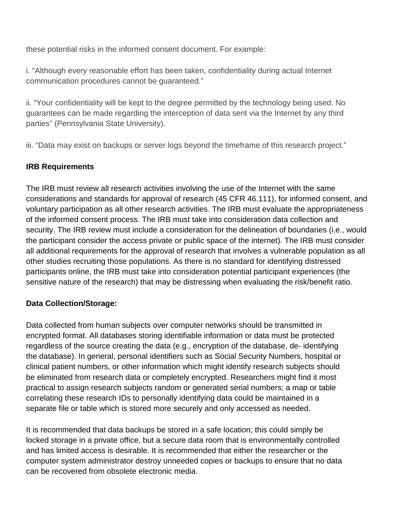these potential risks in the informed consent document. For example:

i. "Although every reasonable effort has been taken, confidentiality during actual Internet communication procedures cannot be guaranteed."

ii. "Your confidentiality will be kept to the degree permitted by the technology being used. No guarantees can be made regarding the interception of data sent via the Internet by any third parties" (Pennsylvania State University).

iii. "Data may exist on backups or server logs beyond the timeframe of this research project."

### **IRB Requirements**

The IRB must review all research activities involving the use of the Internet with the same considerations and standards for approval of research (45 CFR 46.111), for informed consent, and voluntary participation as all other research activities. The IRB must evaluate the appropriateness of the informed consent process. The IRB must take into consideration data collection and security. The IRB review must include a consideration for the delineation of boundaries (i.e., would the participant consider the access private or public space of the internet). The IRB must consider all additional requirements for the approval of research that involves a vulnerable population as all other studies recruiting those populations. As there is no standard for identifying distressed participants online, the IRB must take into consideration potential participant experiences (the sensitive nature of the research) that may be distressing when evaluating the risk/benefit ratio.

### **Data Collection/Storage:**

Data collected from human subjects over computer networks should be transmitted in encrypted format. All databases storing identifiable information or data must be protected regardless of the source creating the data (e.g., encryption of the database, de- identifying the database). In general, personal identifiers such as Social Security Numbers, hospital or clinical patient numbers, or other information which might identify research subjects should be eliminated from research data or completely encrypted. Researchers might find it most practical to assign research subjects random or generated serial numbers; a map or table correlating these research IDs to personally identifying data could be maintained in a separate file or table which is stored more securely and only accessed as needed.

It is recommended that data backups be stored in a safe location; this could simply be locked storage in a private office, but a secure data room that is environmentally controlled and has limited access is desirable. It is recommended that either the researcher or the computer system administrator destroy unneeded copies or backups to ensure that no data can be recovered from obsolete electronic media.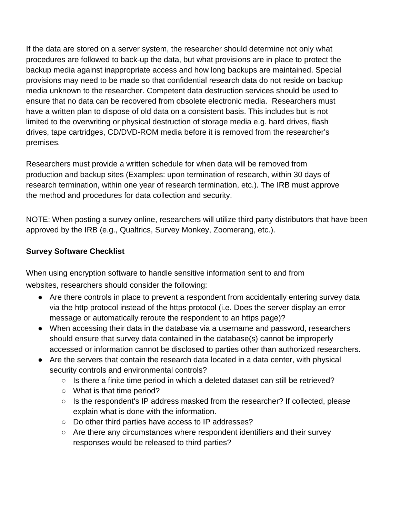If the data are stored on a server system, the researcher should determine not only what procedures are followed to back-up the data, but what provisions are in place to protect the backup media against inappropriate access and how long backups are maintained. Special provisions may need to be made so that confidential research data do not reside on backup media unknown to the researcher. Competent data destruction services should be used to ensure that no data can be recovered from obsolete electronic media. Researchers must have a written plan to dispose of old data on a consistent basis. This includes but is not limited to the overwriting or physical destruction of storage media e.g. hard drives, flash drives, tape cartridges, CD/DVD-ROM media before it is removed from the researcher's premises.

Researchers must provide a written schedule for when data will be removed from production and backup sites (Examples: upon termination of research, within 30 days of research termination, within one year of research termination, etc.). The IRB must approve the method and procedures for data collection and security.

NOTE: When posting a survey online, researchers will utilize third party distributors that have been approved by the IRB (e.g., Qualtrics, Survey Monkey, Zoomerang, etc.).

## **Survey Software Checklist**

When using encryption software to handle sensitive information sent to and from websites, researchers should consider the following:

- Are there controls in place to prevent a respondent from accidentally entering survey data via the http protocol instead of the https protocol (i.e. Does the server display an error message or automatically reroute the respondent to an https page)?
- When accessing their data in the database via a username and password, researchers should ensure that survey data contained in the database(s) cannot be improperly accessed or information cannot be disclosed to parties other than authorized researchers.
- Are the servers that contain the research data located in a data center, with physical security controls and environmental controls?
	- Is there a finite time period in which a deleted dataset can still be retrieved?
	- What is that time period?
	- Is the respondent's IP address masked from the researcher? If collected, please explain what is done with the information.
	- Do other third parties have access to IP addresses?
	- Are there any circumstances where respondent identifiers and their survey responses would be released to third parties?